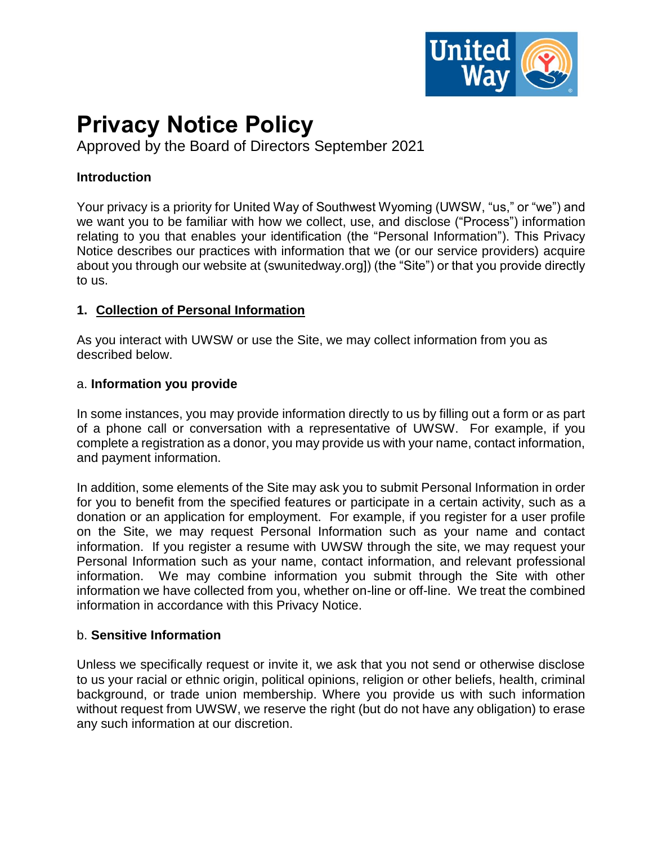

# **Privacy Notice Policy**

Approved by the Board of Directors September 2021

# **Introduction**

Your privacy is a priority for United Way of Southwest Wyoming (UWSW, "us," or "we") and we want you to be familiar with how we collect, use, and disclose ("Process") information relating to you that enables your identification (the "Personal Information"). This Privacy Notice describes our practices with information that we (or our service providers) acquire about you through our website at (swunitedway.org]) (the "Site") or that you provide directly to us.

# **1. Collection of Personal Information**

As you interact with UWSW or use the Site, we may collect information from you as described below.

# a. **Information you provide**

In some instances, you may provide information directly to us by filling out a form or as part of a phone call or conversation with a representative of UWSW. For example, if you complete a registration as a donor, you may provide us with your name, contact information, and payment information.

In addition, some elements of the Site may ask you to submit Personal Information in order for you to benefit from the specified features or participate in a certain activity, such as a donation or an application for employment. For example, if you register for a user profile on the Site, we may request Personal Information such as your name and contact information. If you register a resume with UWSW through the site, we may request your Personal Information such as your name, contact information, and relevant professional information. We may combine information you submit through the Site with other information we have collected from you, whether on-line or off-line. We treat the combined information in accordance with this Privacy Notice.

#### b. **Sensitive Information**

Unless we specifically request or invite it, we ask that you not send or otherwise disclose to us your racial or ethnic origin, political opinions, religion or other beliefs, health, criminal background, or trade union membership. Where you provide us with such information without request from UWSW, we reserve the right (but do not have any obligation) to erase any such information at our discretion.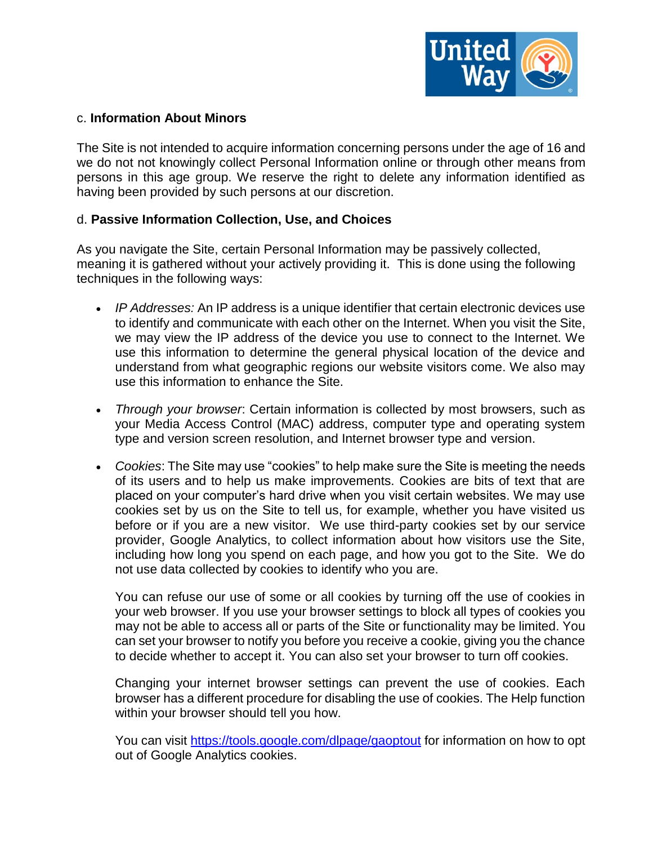

#### c. **Information About Minors**

The Site is not intended to acquire information concerning persons under the age of 16 and we do not not knowingly collect Personal Information online or through other means from persons in this age group. We reserve the right to delete any information identified as having been provided by such persons at our discretion.

#### d. **Passive Information Collection, Use, and Choices**

As you navigate the Site, certain Personal Information may be passively collected, meaning it is gathered without your actively providing it. This is done using the following techniques in the following ways:

- *IP Addresses:* An IP address is a unique identifier that certain electronic devices use to identify and communicate with each other on the Internet. When you visit the Site, we may view the IP address of the device you use to connect to the Internet. We use this information to determine the general physical location of the device and understand from what geographic regions our website visitors come. We also may use this information to enhance the Site.
- *Through your browser*: Certain information is collected by most browsers, such as your Media Access Control (MAC) address, computer type and operating system type and version screen resolution, and Internet browser type and version.
- *Cookies*: The Site may use "cookies" to help make sure the Site is meeting the needs of its users and to help us make improvements. Cookies are bits of text that are placed on your computer's hard drive when you visit certain websites. We may use cookies set by us on the Site to tell us, for example, whether you have visited us before or if you are a new visitor. We use third-party cookies set by our service provider, Google Analytics, to collect information about how visitors use the Site, including how long you spend on each page, and how you got to the Site. We do not use data collected by cookies to identify who you are.

You can refuse our use of some or all cookies by turning off the use of cookies in your web browser. If you use your browser settings to block all types of cookies you may not be able to access all or parts of the Site or functionality may be limited. You can set your browser to notify you before you receive a cookie, giving you the chance to decide whether to accept it. You can also set your browser to turn off cookies.

Changing your internet browser settings can prevent the use of cookies. Each browser has a different procedure for disabling the use of cookies. The Help function within your browser should tell you how.

You can visit<https://tools.google.com/dlpage/gaoptout> for information on how to opt out of Google Analytics cookies.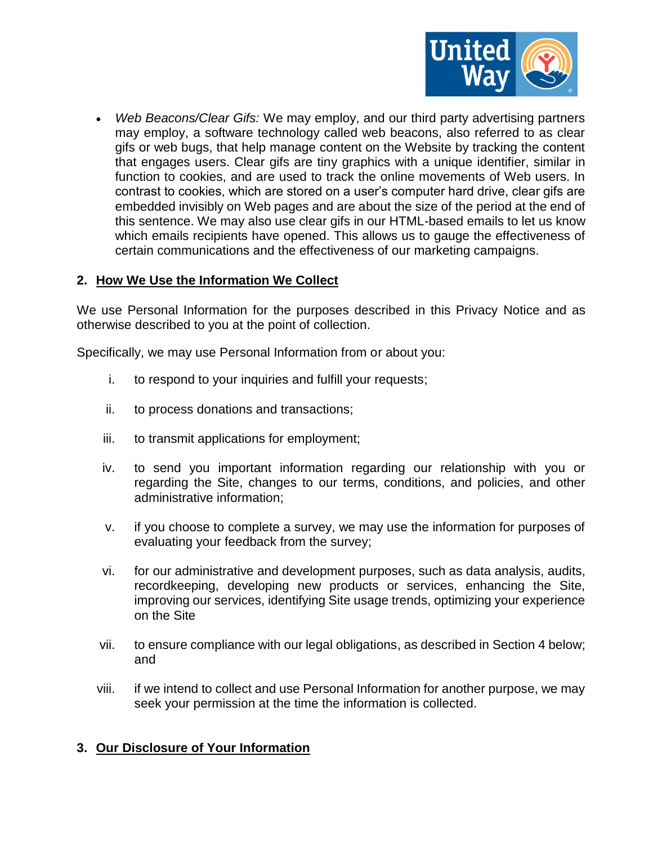

• *Web Beacons/Clear Gifs:* We may employ, and our third party advertising partners may employ, a software technology called web beacons, also referred to as clear gifs or web bugs, that help manage content on the Website by tracking the content that engages users. Clear gifs are tiny graphics with a unique identifier, similar in function to cookies, and are used to track the online movements of Web users. In contrast to cookies, which are stored on a user's computer hard drive, clear gifs are embedded invisibly on Web pages and are about the size of the period at the end of this sentence. We may also use clear gifs in our HTML-based emails to let us know which emails recipients have opened. This allows us to gauge the effectiveness of certain communications and the effectiveness of our marketing campaigns.

#### **2. How We Use the Information We Collect**

We use Personal Information for the purposes described in this Privacy Notice and as otherwise described to you at the point of collection.

Specifically, we may use Personal Information from or about you:

- i. to respond to your inquiries and fulfill your requests;
- ii. to process donations and transactions;
- iii. to transmit applications for employment;
- iv. to send you important information regarding our relationship with you or regarding the Site, changes to our terms, conditions, and policies, and other administrative information;
- v. if you choose to complete a survey, we may use the information for purposes of evaluating your feedback from the survey;
- vi. for our administrative and development purposes, such as data analysis, audits, recordkeeping, developing new products or services, enhancing the Site, improving our services, identifying Site usage trends, optimizing your experience on the Site
- vii. to ensure compliance with our legal obligations, as described in Section 4 below; and
- viii. if we intend to collect and use Personal Information for another purpose, we may seek your permission at the time the information is collected.

#### **3. Our Disclosure of Your Information**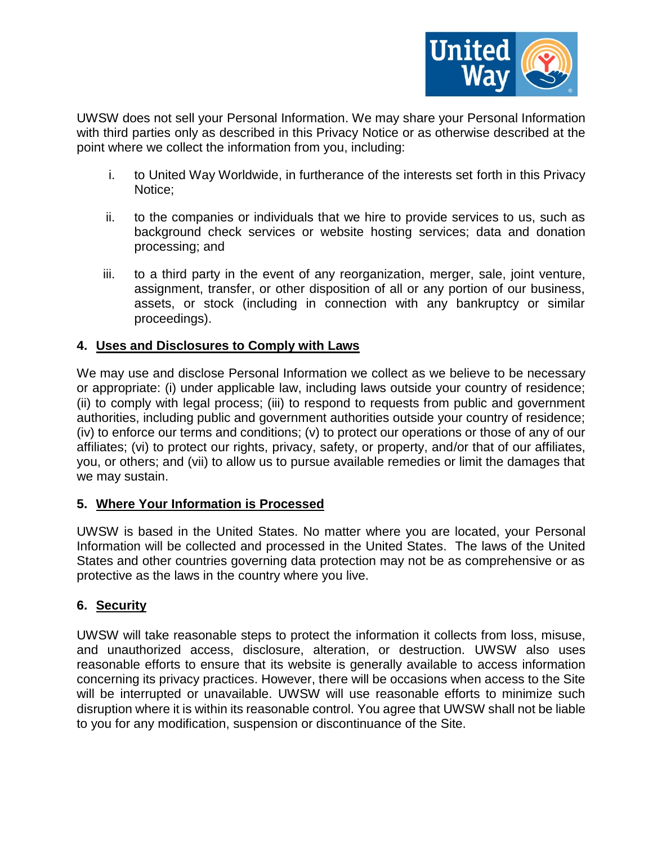

UWSW does not sell your Personal Information. We may share your Personal Information with third parties only as described in this Privacy Notice or as otherwise described at the point where we collect the information from you, including:

- i. to United Way Worldwide, in furtherance of the interests set forth in this Privacy Notice;
- ii. to the companies or individuals that we hire to provide services to us, such as background check services or website hosting services; data and donation processing; and
- iii. to a third party in the event of any reorganization, merger, sale, joint venture, assignment, transfer, or other disposition of all or any portion of our business, assets, or stock (including in connection with any bankruptcy or similar proceedings).

## **4. Uses and Disclosures to Comply with Laws**

We may use and disclose Personal Information we collect as we believe to be necessary or appropriate: (i) under applicable law, including laws outside your country of residence; (ii) to comply with legal process; (iii) to respond to requests from public and government authorities, including public and government authorities outside your country of residence; (iv) to enforce our terms and conditions; (v) to protect our operations or those of any of our affiliates; (vi) to protect our rights, privacy, safety, or property, and/or that of our affiliates, you, or others; and (vii) to allow us to pursue available remedies or limit the damages that we may sustain.

#### **5. Where Your Information is Processed**

UWSW is based in the United States. No matter where you are located, your Personal Information will be collected and processed in the United States. The laws of the United States and other countries governing data protection may not be as comprehensive or as protective as the laws in the country where you live.

# **6. Security**

UWSW will take reasonable steps to protect the information it collects from loss, misuse, and unauthorized access, disclosure, alteration, or destruction. UWSW also uses reasonable efforts to ensure that its website is generally available to access information concerning its privacy practices. However, there will be occasions when access to the Site will be interrupted or unavailable. UWSW will use reasonable efforts to minimize such disruption where it is within its reasonable control. You agree that UWSW shall not be liable to you for any modification, suspension or discontinuance of the Site.